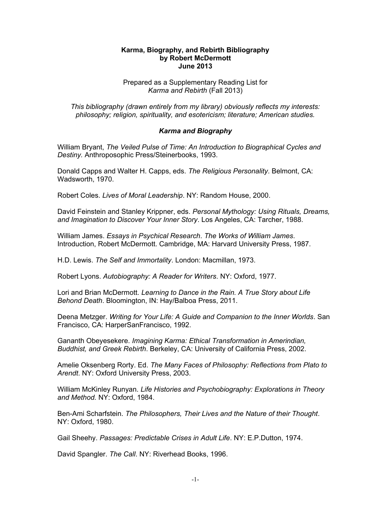#### **Karma, Biography, and Rebirth Bibliography by Robert McDermott June 2013**

### Prepared as a Supplementary Reading List for *Karma and Rebirth* (Fall 2013)

*This bibliography (drawn entirely from my library) obviously reflects my interests: philosophy; religion, spirituality, and esotericism; literature; American studies.* 

## *Karma and Biography*

William Bryant, *The Veiled Pulse of Time: An Introduction to Biographical Cycles and Destiny.* Anthroposophic Press/Steinerbooks, 1993.

Donald Capps and Walter H. Capps, eds. *The Religious Personality*. Belmont, CA: Wadsworth, 1970.

Robert Coles. *Lives of Moral Leadership*. NY: Random House, 2000.

David Feinstein and Stanley Krippner, eds. *Personal Mythology: Using Rituals, Dreams, and Imagination to Discover Your Inner Story*. Los Angeles, CA: Tarcher, 1988.

William James. *Essays in Psychical Research*. *The Works of William James*. Introduction, Robert McDermott. Cambridge, MA: Harvard University Press, 1987.

H.D. Lewis. *The Self and Immortality*. London: Macmillan, 1973.

Robert Lyons. *Autobiography: A Reader for Writers*. NY: Oxford, 1977.

Lori and Brian McDermott. *Learning to Dance in the Rain. A True Story about Life Behond Death*. Bloomington, IN: Hay/Balboa Press, 2011.

Deena Metzger. *Writing for Your Life: A Guide and Companion to the Inner Worlds*. San Francisco, CA: HarperSanFrancisco, 1992.

Gananth Obeyesekere. *Imagining Karma: Ethical Transformation in Amerindian, Buddhist, and Greek Rebirth*. Berkeley, CA: University of California Press, 2002.

Amelie Oksenberg Rorty. Ed. *The Many Faces of Philosophy: Reflections from Plato to Arendt*. NY: Oxford University Press, 2003.

William McKinley Runyan. *Life Histories and Psychobiography: Explorations in Theory and Method.* NY: Oxford, 1984.

Ben-Ami Scharfstein. *The Philosophers, Their Lives and the Nature of their Thought*. NY: Oxford, 1980.

Gail Sheehy. *Passages: Predictable Crises in Adult Life*. NY: E.P.Dutton, 1974.

David Spangler. *The Call*. NY: Riverhead Books, 1996.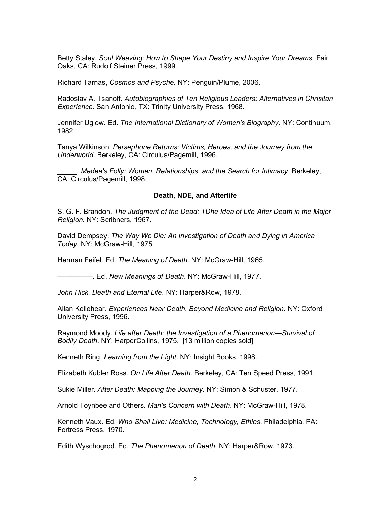Betty Staley, *Soul Weaving*: *How to Shape Your Destiny and Inspire Your Dreams.* Fair Oaks, CA: Rudolf Steiner Press, 1999*.* 

Richard Tarnas, *Cosmos and Psyche.* NY: Penguin/Plume, 2006.

Radoslav A. Tsanoff. *Autobiographies of Ten Religious Leaders: Alternatives in Chrisitan Experience.* San Antonio, TX: Trinity University Press, 1968.

Jennifer Uglow. Ed. *The International Dictionary of Women's Biography*. NY: Continuum, 1982.

Tanya Wilkinson. *Persephone Returns: Victims, Heroes, and the Journey from the Underworld*. Berkeley, CA: Circulus/Pagemill, 1996.

\_\_\_\_\_. *Medea's Folly: Women, Relationships, and the Search for Intimacy*. Berkeley, CA: Circulus/Pagemill, 1998.

#### **Death, NDE, and Afterlife**

S. G. F. Brandon. *The Judgment of the Dead: TDhe Idea of Life After Death in the Major Religion.* NY: Scribners, 1967.

David Dempsey. *The Way We Die: An Investigation of Death and Dying in America Today.* NY: McGraw-Hill, 1975.

Herman Feifel. Ed. *The Meaning of Death*. NY: McGraw-Hill, 1965.

—————. Ed. *New Meanings of Death*. NY: McGraw-Hill, 1977.

*John Hick. Death and Eternal Life*. NY: Harper&Row, 1978.

Allan Kellehear. *Experiences Near Death. Beyond Medicine and Religion*. NY: Oxford University Press, 1996.

Raymond Moody. *Life after Death: the Investigation of a Phenomenon—Survival of Bodily Death*. NY: HarperCollins, 1975. [13 million copies sold]

Kenneth Ring. *Learning from the Light*. NY: Insight Books, 1998.

Elizabeth Kubler Ross. *On Life After Death*. Berkeley, CA: Ten Speed Press, 1991.

Sukie Miller. *After Death: Mapping the Journey*. NY: Simon & Schuster, 1977.

Arnold Toynbee and Others. *Man's Concern with Death*. NY: McGraw-Hill, 1978.

Kenneth Vaux. Ed. *Who Shall Live: Medicine, Technology, Ethics*. Philadelphia, PA: Fortress Press, 1970.

Edith Wyschogrod. Ed. *The Phenomenon of Death*. NY: Harper&Row, 1973.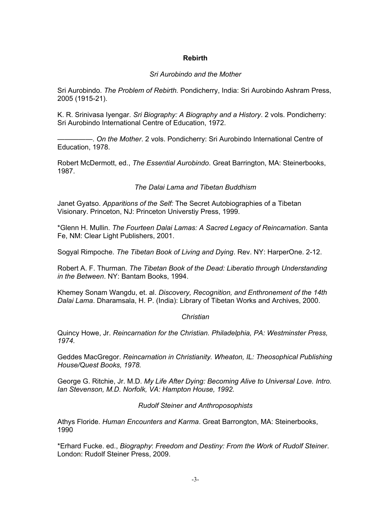# **Rebirth**

## *Sri Aurobindo and the Mother*

Sri Aurobindo. *The Problem of Rebirth.* Pondicherry, India: Sri Aurobindo Ashram Press, 2005 (1915-21).

K. R. Srinivasa Iyengar*. Sri Biography: A Biography and a History*. 2 vols. Pondicherry: Sri Aurobindo International Centre of Education, 1972.

—————. *On the Mother*. 2 vols. Pondicherry: Sri Aurobindo International Centre of Education, 1978.

Robert McDermott, ed., *The Essential Aurobindo*. Great Barrington, MA: Steinerbooks, 1987.

# *The Dalai Lama and Tibetan Buddhism*

Janet Gyatso. *Apparitions of the Self:* The Secret Autobiographies of a Tibetan Visionary. Princeton, NJ: Princeton Universtiy Press, 1999.

\*Glenn H. Mullin. *The Fourteen Dalai Lamas: A Sacred Legacy of Reincarnation*. Santa Fe, NM: Clear Light Publishers, 2001.

Sogyal Rimpoche. *The Tibetan Book of Living and Dying*. Rev. NY: HarperOne. 2-12.

Robert A. F. Thurman. *The Tibetan Book of the Dead: Liberatio through Understanding in the Between*. NY: Bantam Books, 1994.

Khemey Sonam Wangdu, et. al. *Discovery, Recognition, and Enthronement of the 14th Dalai Lama*. Dharamsala, H. P. (India): Library of Tibetan Works and Archives, 2000.

### *Christian*

Quincy Howe, Jr. *Reincarnation for the Christian. Philadelphia, PA: Westminster Press, 1974.*

Geddes MacGregor. *Reincarnation in Christianity. Wheaton, IL: Theosophical Publishing House/Quest Books, 1978.*

George G. Ritchie, Jr. M.D. *My Life After Dying: Becoming Alive to Universal Love. Intro. Ian Stevenson, M.D. Norfolk, VA: Hampton House, 1992.* 

### *Rudolf Steiner and Anthroposophists*

Athys Floride. *Human Encounters and Karma*. Great Barrongton, MA: Steinerbooks, 1990

\*Erhard Fucke. ed., *Biography*: *Freedom and Destiny: From the Work of Rudolf Steiner*. London: Rudolf Steiner Press, 2009.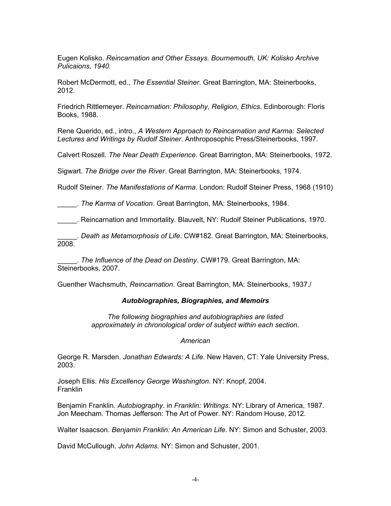Eugen Kolisko. *Reincarnation and Other Essays. Bournemouth, UK: Kolisko Archive Pulicaions, 1940.*

Robert McDermott, ed., *The Essential Steiner*. Great Barrington, MA: Steinerbooks, 2012.

Friedrich Rittlemeyer. *Reincarnation: Philosophy, Religion, Ethics*. Edinborough: Floris Books, 1988.

Rene Querido, ed., intro., *A Western Approach to Reincarnation and Karma: Selected Lectures and Writings by Rudolf Steiner*. Anthroposophic Press/Steinerbooks, 1997.

Calvert Roszell. *The Near Death Experience*. Great Barrington, MA: Steinerbooks, 1972.

Sigwart. *The Bridge over the River*. Great Barrington, MA: Steinerbooks, 1974.

Rudolf Steiner. *The Manifestations of Karma*. London: Rudolf Steiner Press, 1968 (1910)

\_\_\_\_\_. *The Karma of Vocation*. Great Barrington, MA: Steinerbooks, 1984.

\_\_\_\_\_. Reincarnation and Immortality. Blauvelt, NY: Rudolf Steiner Publications, 1970.

\_\_\_\_\_. *Death as Metamorphosis of Life*. CW#182. Great Barrington, MA: Steinerbooks, 2008.

\_\_\_\_\_. *The Influence of the Dead on Destiny*. CW#179. Great Barrington, MA: Steinerbooks, 2007.

Guenther Wachsmuth, *Reincarnation*. Great Barrington, MA: Steinerbooks, 1937./

#### *Autobiographies, Biographies, and Memoirs*

*The following biographies and autobiographies are listed approximately in chronological order of subject within each section.*

#### *American*

George R. Marsden. *Jonathan Edwards: A Life*. New Haven, CT: Yale University Press, 2003.

Joseph Ellis. *His Excellency George Washington*. NY: Knopf, 2004. Franklin

Benjamin Franklin. *Autobiography*. in *Franklin: Writings*. NY: Library of America, 1987. Jon Meecham. Thomas Jefferson: The Art of Power. NY: Random House, 2012.

Walter Isaacson. *Benjamin Franklin: An American Life*. NY: Simon and Schuster, 2003.

David McCullough. *John Adams*. NY: Simon and Schuster, 2001.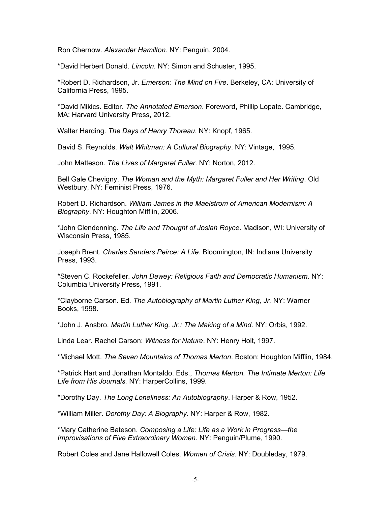Ron Chernow. *Alexander Hamilton*. NY: Penguin, 2004.

\*David Herbert Donald. *Lincoln*. NY: Simon and Schuster, 1995.

\*Robert D. Richardson, Jr. *Emerson: The Mind on Fire*. Berkeley, CA: University of California Press, 1995.

\*David Mikics. Editor. *The Annotated Emerson*. Foreword, Phillip Lopate. Cambridge, MA: Harvard University Press, 2012.

Walter Harding. *The Days of Henry Thoreau*. NY: Knopf, 1965.

David S. Reynolds. *Walt Whitman: A Cultural Biography*. NY: Vintage, 1995.

John Matteson. *The Lives of Margaret Fuller*. NY: Norton, 2012.

Bell Gale Chevigny. *The Woman and the Myth: Margaret Fuller and Her Writing*. Old Westbury, NY: Feminist Press, 1976.

Robert D. Richardson. *William James in the Maelstrom of American Modernism: A Biography*. NY: Houghton Mifflin, 2006.

\*John Clendenning. *The Life and Thought of Josiah Royce*. Madison, WI: University of Wisconsin Press, 1985.

Joseph Brent. *Charles Sanders Peirce: A Life*. Bloomington, IN: Indiana University Press, 1993.

\*Steven C. Rockefeller. *John Dewey: Religious Faith and Democratic Humanism*. NY: Columbia University Press, 1991.

\*Clayborne Carson. Ed. *The Autobiography of Martin Luther King, Jr.* NY: Warner Books, 1998.

\*John J. Ansbro. *Martin Luther King, Jr.: The Making of a Mind*. NY: Orbis, 1992.

Linda Lear. Rachel Carson: *Witness for Nature*. NY: Henry Holt, 1997.

\*Michael Mott. *The Seven Mountains of Thomas Merton*. Boston: Houghton Mifflin, 1984.

\*Patrick Hart and Jonathan Montaldo. Eds., *Thomas Merton. The Intimate Merton: Life Life from His Journals.* NY: HarperCollins, 1999.

\*Dorothy Day. *The Long Loneliness: An Autobiography*. Harper & Row, 1952.

\*William Miller. *Dorothy Day: A Biography.* NY: Harper & Row, 1982.

\*Mary Catherine Bateson. *Composing a Life: Life as a Work in Progress—the Improvisations of Five Extraordinary Women*. NY: Penguin/Plume, 1990.

Robert Coles and Jane Hallowell Coles. *Women of Crisis*. NY: Doubleday, 1979.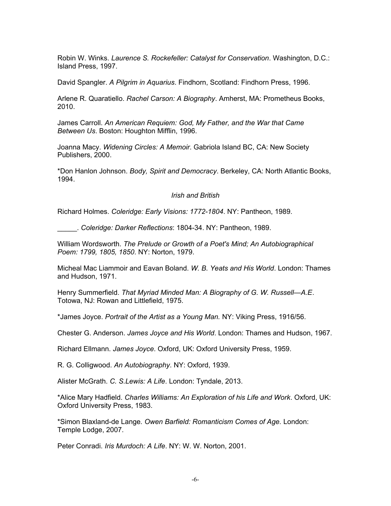Robin W. Winks. *Laurence S. Rockefeller: Catalyst for Conservation*. Washington, D.C.: Island Press, 1997.

David Spangler. *A Pilgrim in Aquarius*. Findhorn, Scotland: Findhorn Press, 1996.

Arlene R. Quaratiello. *Rachel Carson: A Biography*. Amherst, MA: Prometheus Books, 2010.

James Carroll. *An American Requiem: God, My Father, and the War that Came Between Us*. Boston: Houghton Mifflin, 1996.

Joanna Macy. *Widening Circles: A Memoir*. Gabriola Island BC, CA: New Society Publishers, 2000.

\*Don Hanlon Johnson. *Body, Spirit and Democracy*. Berkeley, CA: North Atlantic Books, 1994.

*Irish and British* 

Richard Holmes. *Coleridge: Early Visions: 1772-1804*. NY: Pantheon, 1989.

\_\_\_\_\_. *Coleridge: Darker Reflections*: 1804-34. NY: Pantheon, 1989.

William Wordsworth. *The Prelude or Growth of a Poet's Mind; An Autobiographical Poem: 1799, 1805, 1850*. NY: Norton, 1979.

Micheal Mac Liammoir and Eavan Boland. *W. B. Yeats and His World*. London: Thames and Hudson, 1971.

Henry Summerfield. *That Myriad Minded Man: A Biography of G. W. Russell—A.E*. Totowa, NJ: Rowan and Littlefield, 1975.

\*James Joyce. *Portrait of the Artist as a Young Man.* NY: Viking Press, 1916/56.

Chester G. Anderson. *James Joyce and His World*. London: Thames and Hudson, 1967.

Richard Ellmann. *James Joyce*. Oxford, UK: Oxford University Press, 1959.

R. G. Colligwood. *An Autobiography*. NY: Oxford, 1939.

Alister McGrath. *C. S.Lewis: A Life*. London: Tyndale, 2013.

\*Alice Mary Hadfield. *Charles Williams: An Exploration of his Life and Work*. Oxford, UK: Oxford University Press, 1983.

\*Simon Blaxland-de Lange*. Owen Barfield: Romanticism Comes of Age.* London: Temple Lodge, 2007.

Peter Conradi. *Iris Murdoch: A Life*. NY: W. W. Norton, 2001.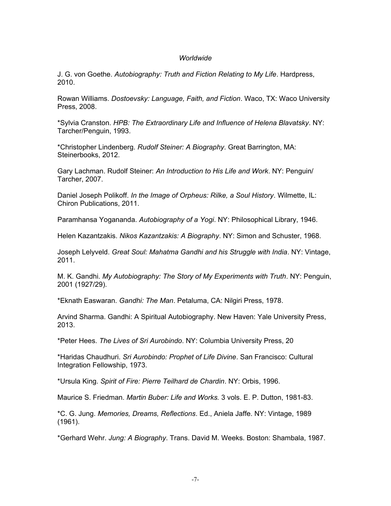### *Worldwide*

J. G. von Goethe. *Autobiography: Truth and Fiction Relating to My Life*. Hardpress, 2010.

Rowan Williams. *Dostoevsky: Language, Faith, and Fiction*. Waco, TX: Waco University Press, 2008.

\*Sylvia Cranston. *HPB: The Extraordinary Life and Influence of Helena Blavatsky*. NY: Tarcher/Penguin, 1993.

\*Christopher Lindenberg. *Rudolf Steiner: A Biography*. Great Barrington, MA: Steinerbooks, 2012.

Gary Lachman. Rudolf Steiner: *An Introduction to His Life and Work*. NY: Penguin/ Tarcher, 2007.

Daniel Joseph Polikoff. *In the Image of Orpheus: Rilke, a Soul History*. Wilmette, IL: Chiron Publications, 2011.

Paramhansa Yogananda. *Autobiography of a Yogi*. NY: Philosophical Library, 1946.

Helen Kazantzakis. *Nikos Kazantzakis: A Biography*. NY: Simon and Schuster, 1968.

Joseph Lelyveld. *Great Soul: Mahatma Gandhi and his Struggle with India*. NY: Vintage, 2011.

M. K. Gandhi. *My Autobiography: The Story of My Experiments with Truth*. NY: Penguin, 2001 (1927/29).

\*Eknath Easwaran. *Gandhi: The Man*. Petaluma, CA: Nilgiri Press, 1978.

Arvind Sharma. Gandhi: A Spiritual Autobiography. New Haven: Yale University Press, 2013.

\*Peter Hees. *The Lives of Sri Aurobindo*. NY: Columbia University Press, 20

\*Haridas Chaudhuri. *Sri Aurobindo: Prophet of Life Divine*. San Francisco: Cultural Integration Fellowship, 1973.

\*Ursula King. *Spirit of Fire: Pierre Teilhard de Chardin*. NY: Orbis, 1996.

Maurice S. Friedman. *Martin Buber: Life and Works.* 3 vols. E. P. Dutton, 1981-83.

\*C. G. Jung. *Memories, Dreams, Reflections*. Ed., Aniela Jaffe. NY: Vintage, 1989 (1961).

\*Gerhard Wehr. *Jung: A Biography*. Trans. David M. Weeks. Boston: Shambala, 1987.